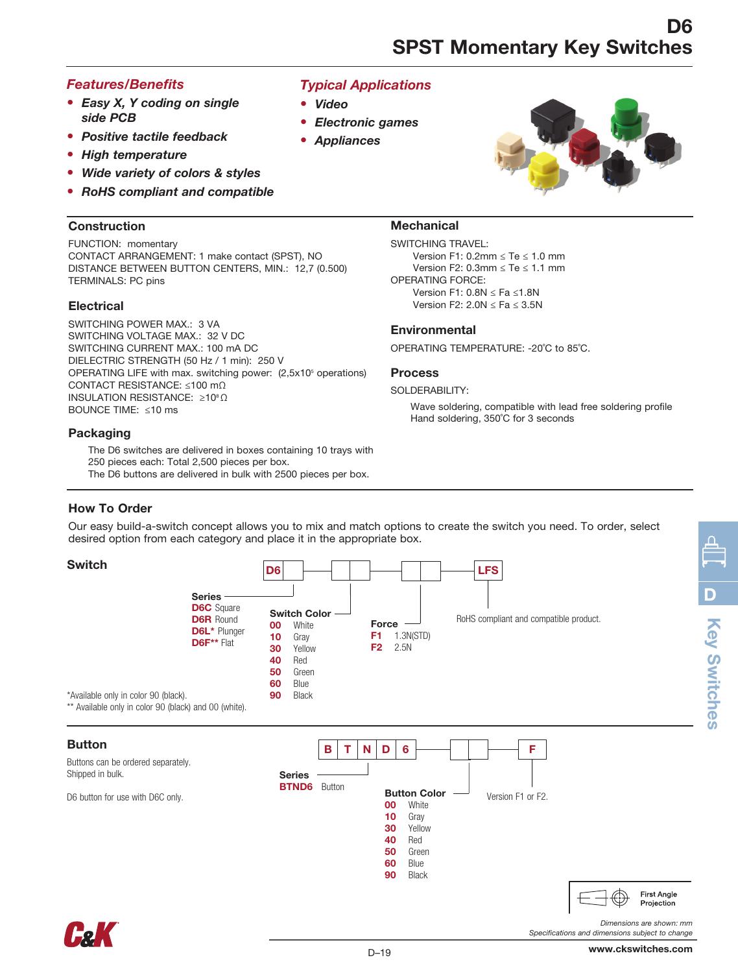## *Features/Benefits*

- *Easy X, Y coding on single side PCB*
- *Positive tactile feedback*
- *High temperature*
- *Wide variety of colors & styles*
- *RoHS compliant and compatible*

### **Construction**

FUNCTION: momentary CONTACT ARRANGEMENT: 1 make contact (SPST), NO DISTANCE BETWEEN BUTTON CENTERS, MIN.: 12,7 (0.500) TERMINALS: PC pins

## **Electrical**

SWITCHING POWER MAX.: 3 VA SWITCHING VOLTAGE MAX.: 32 V DC SWITCHING CURRENT MAX.: 100 mA DC DIELECTRIC STRENGTH (50 Hz / 1 min): 250 V OPERATING LIFE with max. switching power: (2,5x10<sup>5</sup> operations) CONTACT RESISTANCE: ≤100 mΩ INSULATION RESISTANCE: ≥10<sup>8</sup> Ω BOUNCE TIME: ≤10 ms

### Packaging

The D6 switches are delivered in boxes containing 10 trays with 250 pieces each: Total 2,500 pieces per box. The D6 buttons are delivered in bulk with 2500 pieces per box.

## *Typical Applications*

- *Video*
- *Electronic games*
- *Appliances*



## **Mechanical**

SWITCHING TRAVEL: Version F1: 0.2mm ≤ Te ≤ 1.0 mm Version F2: 0.3mm ≤ Te ≤ 1.1 mm OPERATING FORCE: Version F1: 0.8N ≤ Fa ≤1.8N Version F2:  $2.0N \leq Fa \leq 3.5N$ 

## **Environmental**

OPERATING TEMPERATURE: -20˚C to 85˚C.

#### Process

#### SOLDERABILITY:

Wave soldering, compatible with lead free soldering profile Hand soldering, 350˚C for 3 seconds

## How To Order

Our easy build-a-switch concept allows you to mix and match options to create the switch you need. To order, select desired option from each category and place it in the appropriate box.



**First Angle** Projection Key Switches

**Key Switches** 

D



90 Black

*Dimensions are shown: mm*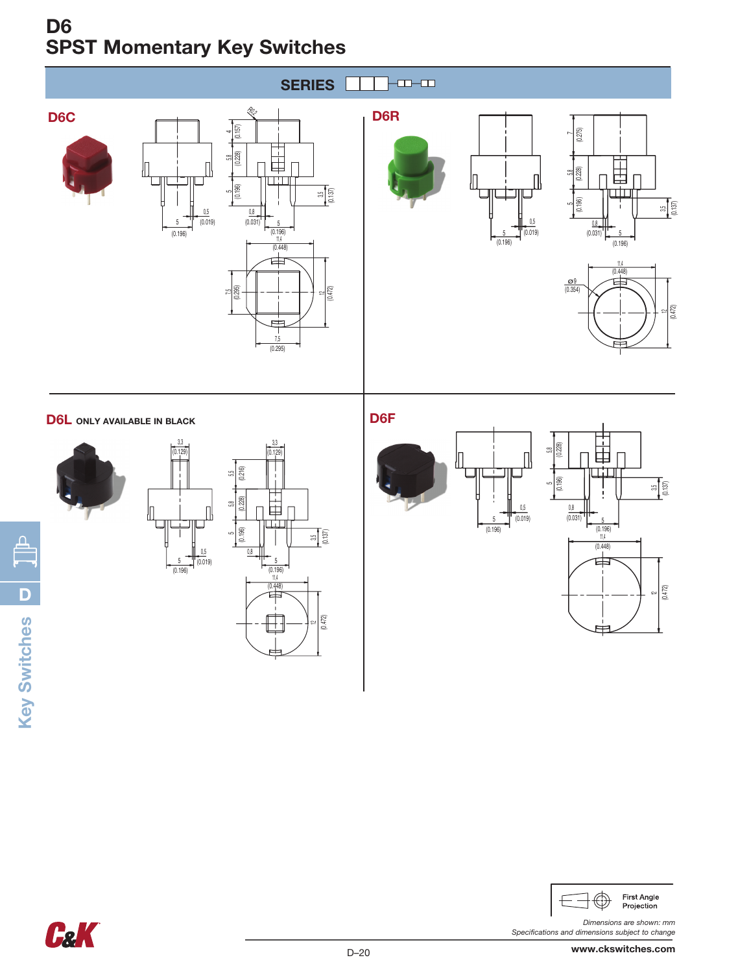# D6 SPST Momentary Key Switches



## D6L ONLY AVAILABLE IN BLACK







D6F







*Dimensions are shown: mm Specifications and dimensions subject to change*



Key Switches **Key Switches D** 

 $\bigoplus$